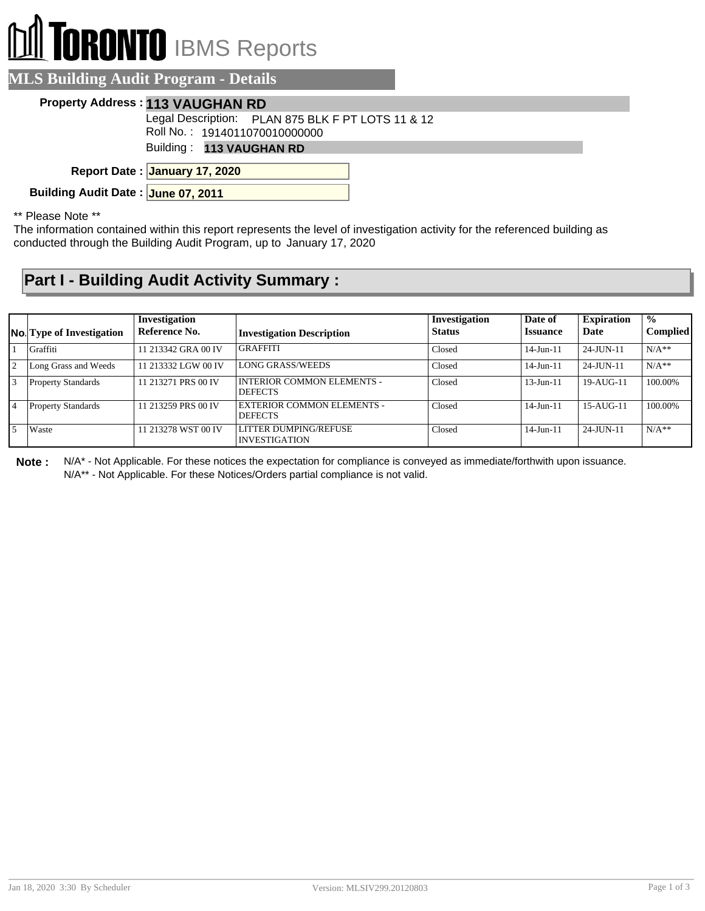# **RONTO** IBMS Reports

#### **MLS Building Audit Program - Details**

#### **Property Address : 113 VAUGHAN RD**

Legal Description: PLAN 875 BLK F PT LOTS 11 & 12

Roll No. : 1914011070010000000

Building : **113 VAUGHAN RD**

**January 17, 2020 Report Date :**

**Building Audit Date : June 07, 2011**

\*\* Please Note \*\*

The information contained within this report represents the level of investigation activity for the referenced building as conducted through the Building Audit Program, up to January 17, 2020

### **Part I - Building Audit Activity Summary :**

|    | <b>No.</b> Type of Investigation | Investigation<br>Reference No. | <b>Investigation Description</b>                    | <b>Investigation</b><br><b>Status</b> | Date of<br><b>Issuance</b> | <b>Expiration</b><br>Date | $\frac{6}{6}$<br><b>Complied</b> |
|----|----------------------------------|--------------------------------|-----------------------------------------------------|---------------------------------------|----------------------------|---------------------------|----------------------------------|
|    | Graffiti                         | 11 213342 GRA 00 IV            | <b>GRAFFITI</b>                                     | Closed                                | $14$ -Jun-11               | 24-JUN-11                 | $N/A**$                          |
| 12 | Long Grass and Weeds             | 11 213332 LGW 00 IV            | <b>LONG GRASS/WEEDS</b>                             | Closed                                | $14$ -Jun-11               | 24-JUN-11                 | $N/A**$                          |
| 13 | <b>Property Standards</b>        | 11 213271 PRS 00 IV            | INTERIOR COMMON ELEMENTS -<br><b>DEFECTS</b>        | Closed                                | $13 - Jun - 11$            | 19-AUG-11                 | 100.00%                          |
|    | <b>Property Standards</b>        | 11 213259 PRS 00 IV            | <b>EXTERIOR COMMON ELEMENTS -</b><br><b>DEFECTS</b> | Closed                                | $14$ -Jun-11               | 15-AUG-11                 | 100.00%                          |
|    | Waste                            | 11 213278 WST 00 IV            | LITTER DUMPING/REFUSE<br><b>INVESTIGATION</b>       | Closed                                | $14$ -Jun-11               | 24-JUN-11                 | $N/A**$                          |

**Note :** N/A\* - Not Applicable. For these notices the expectation for compliance is conveyed as immediate/forthwith upon issuance. N/A\*\* - Not Applicable. For these Notices/Orders partial compliance is not valid.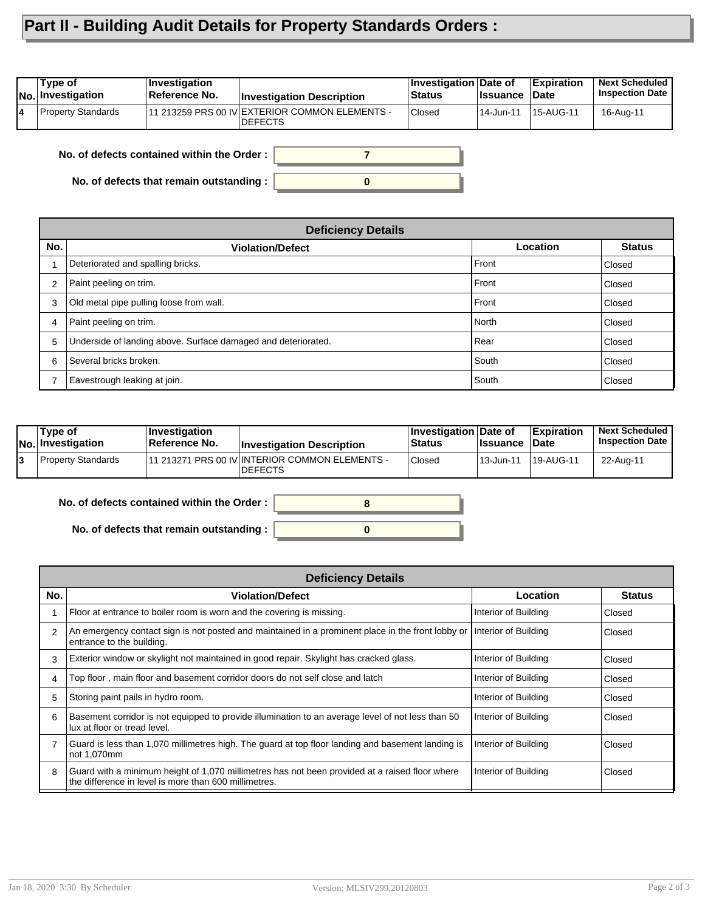## **Part II - Building Audit Details for Property Standards Orders :**

|    | Type of<br><b>No. Investigation</b> | <i><b>Investigation</b></i><br>Reference No. | <b>Investigation Description</b>                                  | <b>Investigation Date of</b><br><b>Status</b> | <b>Issuance</b> | <b>Expiration</b><br><b>Date</b> | <b>Next Scheduled</b><br><b>Inspection Date</b> |
|----|-------------------------------------|----------------------------------------------|-------------------------------------------------------------------|-----------------------------------------------|-----------------|----------------------------------|-------------------------------------------------|
| 14 | <b>Property Standards</b>           |                                              | 11 213259 PRS 00 IV EXTERIOR COMMON ELEMENTS -<br><b>IDEFECTS</b> | <b>Closed</b>                                 | 14-Jun-11       | l 15-AUG-11                      | 16-Aug-11                                       |
|    |                                     |                                              |                                                                   |                                               |                 |                                  |                                                 |

**0**

**7**

**No. of defects contained within the Order :**

**No. of defects that remain outstanding :**

|                | <b>Deficiency Details</b>                                     |                 |               |  |  |  |  |
|----------------|---------------------------------------------------------------|-----------------|---------------|--|--|--|--|
| No.            | <b>Violation/Defect</b>                                       | <b>Location</b> | <b>Status</b> |  |  |  |  |
|                | Deteriorated and spalling bricks.                             | Front           | Closed        |  |  |  |  |
| $\overline{2}$ | Paint peeling on trim.                                        | Front           | Closed        |  |  |  |  |
| 3              | Old metal pipe pulling loose from wall.                       | Front           | Closed        |  |  |  |  |
| 4              | Paint peeling on trim.                                        | North           | <b>Closed</b> |  |  |  |  |
| 5              | Underside of landing above. Surface damaged and deteriorated. | Rear            | Closed        |  |  |  |  |
| 6              | Several bricks broken.                                        | South           | <b>Closed</b> |  |  |  |  |
| $\overline{ }$ | Eavestrough leaking at join.                                  | South           | Closed        |  |  |  |  |

| Type of<br>No. Investigation | <b>Investigation</b><br>∣Reference No. | <b>Investigation Description</b>                                  | Investigation Date of<br><b>Status</b> | <b>Issuance Date</b> | Expiration | <b>Next Scheduled</b><br><b>Inspection Date</b> |
|------------------------------|----------------------------------------|-------------------------------------------------------------------|----------------------------------------|----------------------|------------|-------------------------------------------------|
| Property Standards           |                                        | 111 213271 PRS 00 IV INTERIOR COMMON ELEMENTS -<br><b>DEFECTS</b> | Closed                                 | l 13-Jun-11          | 19-AUG-11  | 22-Aug-11                                       |
|                              |                                        |                                                                   |                                        |                      |            |                                                 |

**0**

**8**

#### **No. of defects contained within the Order :**

**No. of defects that remain outstanding :**

|     | <b>Deficiency Details</b>                                                                                                                               |                      |               |  |  |  |  |
|-----|---------------------------------------------------------------------------------------------------------------------------------------------------------|----------------------|---------------|--|--|--|--|
| No. | <b>Violation/Defect</b>                                                                                                                                 | Location             | <b>Status</b> |  |  |  |  |
|     | Floor at entrance to boiler room is worn and the covering is missing.                                                                                   | Interior of Building | Closed        |  |  |  |  |
|     | An emergency contact sign is not posted and maintained in a prominent place in the front lobby or<br>entrance to the building.                          | Interior of Building | Closed        |  |  |  |  |
| 3   | Exterior window or skylight not maintained in good repair. Skylight has cracked glass.                                                                  | Interior of Building | Closed        |  |  |  |  |
|     | Top floor, main floor and basement corridor doors do not self close and latch                                                                           | Interior of Building | Closed        |  |  |  |  |
| 5   | Storing paint pails in hydro room.                                                                                                                      | Interior of Building | Closed        |  |  |  |  |
| 6   | Basement corridor is not equipped to provide illumination to an average level of not less than 50<br>lux at floor or tread level.                       | Interior of Building | Closed        |  |  |  |  |
|     | Guard is less than 1,070 millimetres high. The guard at top floor landing and basement landing is<br>not 1,070mm                                        | Interior of Building | Closed        |  |  |  |  |
| 8   | Guard with a minimum height of 1,070 millimetres has not been provided at a raised floor where<br>the difference in level is more than 600 millimetres. | Interior of Building | Closed        |  |  |  |  |